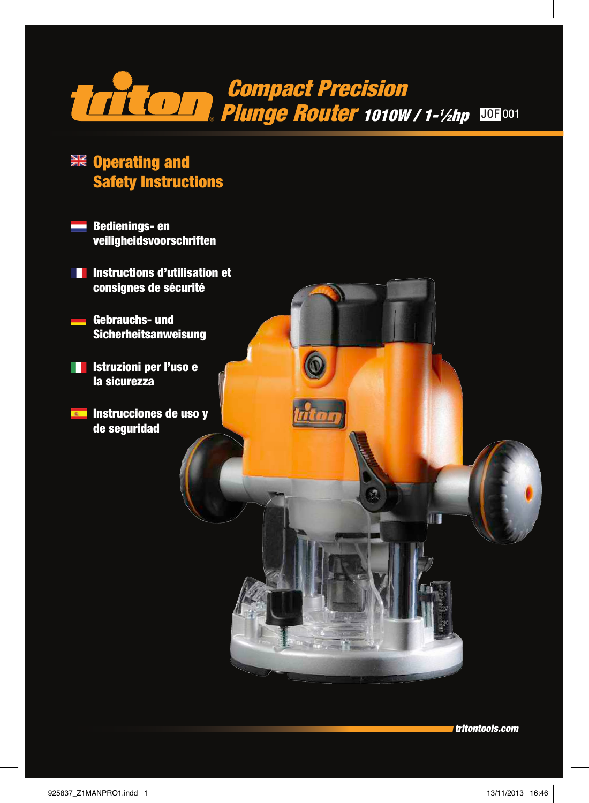

 $\circledcirc$ 

nton

- **EXE** Operating and Safety Instructions
	- Bedienings- en veiligheidsvoorschriften
- **Instructions d'utilisation et** consignes de sécurité
	- Gebrauchs- und Sicherheitsanweisung
- **Internationie per l'uso e** la sicurezza
- **Example 15 Instrucciones de uso y** de seguridad

tritontools.com

113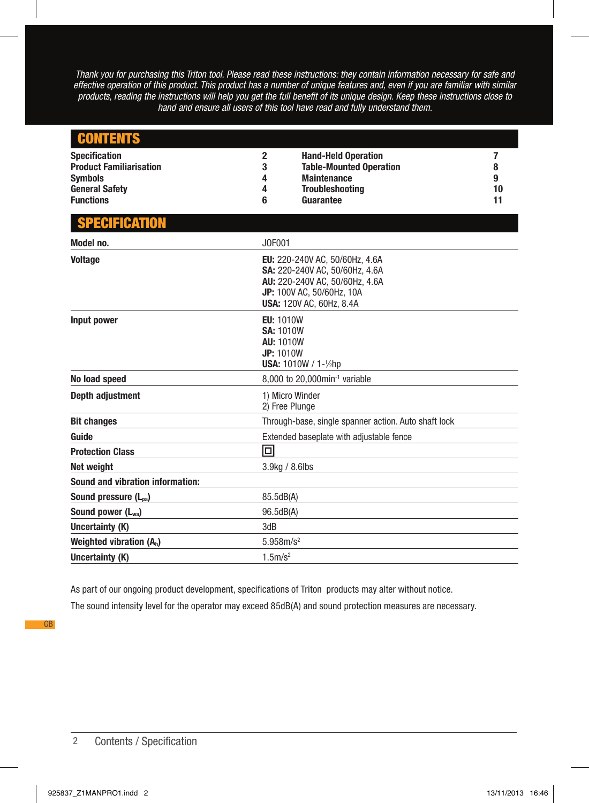*Thank you for purchasing this Triton tool. Please read these instructions: they contain information necessary for safe and effective operation of this product. This product has a number of unique features and, even if you are familiar with similar products, reading the instructions will help you get the full benefit of its unique design. Keep these instructions close to hand and ensure all users of this tool have read and fully understand them.*

| <b>CONTENTS</b>                                                          |                          |                                                                                                                                                                    |             |  |
|--------------------------------------------------------------------------|--------------------------|--------------------------------------------------------------------------------------------------------------------------------------------------------------------|-------------|--|
| <b>Specification</b><br><b>Product Familiarisation</b><br><b>Symbols</b> | $\overline{2}$<br>3<br>4 | <b>Hand-Held Operation</b><br><b>Table-Mounted Operation</b><br><b>Maintenance</b>                                                                                 | 7<br>8<br>9 |  |
| <b>General Safety</b>                                                    | 4                        | <b>Troubleshooting</b>                                                                                                                                             | 10          |  |
| <b>Functions</b>                                                         | 6                        | Guarantee                                                                                                                                                          | 11          |  |
| <b>SPECIFICATION</b>                                                     |                          |                                                                                                                                                                    |             |  |
| Model no.                                                                |                          | J0F001                                                                                                                                                             |             |  |
| <b>Voltage</b>                                                           |                          | EU: 220-240V AC, 50/60Hz, 4.6A<br>SA: 220-240V AC, 50/60Hz, 4.6A<br>AU: 220-240V AC, 50/60Hz, 4.6A<br>JP: 100V AC, 50/60Hz, 10A<br><b>USA: 120V AC, 60Hz, 8.4A</b> |             |  |
| Input power                                                              |                          | <b>EU: 1010W</b><br><b>SA: 1010W</b><br><b>AU: 1010W</b><br><b>JP: 1010W</b><br><b>USA: 1010W / 1-1/hp</b>                                                         |             |  |
| No load speed                                                            |                          | 8,000 to 20,000min <sup>-1</sup> variable                                                                                                                          |             |  |
| Depth adjustment                                                         |                          | 1) Micro Winder<br>2) Free Plunge                                                                                                                                  |             |  |
| <b>Bit changes</b>                                                       |                          | Through-base, single spanner action. Auto shaft lock                                                                                                               |             |  |
| Guide                                                                    |                          | Extended baseplate with adjustable fence                                                                                                                           |             |  |
| <b>Protection Class</b>                                                  | 回                        |                                                                                                                                                                    |             |  |
| Net weight                                                               |                          | 3.9kg / 8.6lbs                                                                                                                                                     |             |  |
| <b>Sound and vibration information:</b>                                  |                          |                                                                                                                                                                    |             |  |
| Sound pressure (L <sub>oa</sub> )                                        |                          | 85.5dB(A)                                                                                                                                                          |             |  |
| Sound power (L <sub>wa</sub> )                                           |                          | 96.5dB(A)                                                                                                                                                          |             |  |
| Uncertainty (K)                                                          | 3dB                      |                                                                                                                                                                    |             |  |
| Weighted vibration $(A_h)$                                               |                          | 5.958m/s <sup>2</sup>                                                                                                                                              |             |  |
| Uncertainty (K)                                                          |                          | 1.5m/s <sup>2</sup>                                                                                                                                                |             |  |

As part of our ongoing product development, specifications of Triton products may alter without notice.

The sound intensity level for the operator may exceed 85dB(A) and sound protection measures are necessary.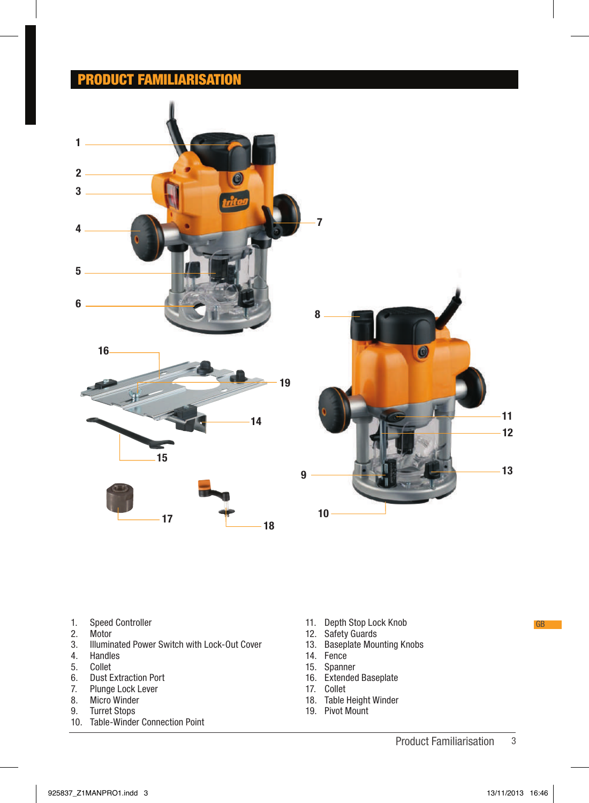## PRODUCT FAMILIARISATION







- 1. Speed Controller<br>2. Motor
- 
- 2. Motor<br>3. Illumin 3. Illuminated Power Switch with Lock-Out Cover
- 4. Handles
- 5. Collet<br>6. Dust E
- 6. Dust Extraction Port<br>7. Plunge Lock Lever
- 7. Plunge Lock Lever<br>8. Micro Winder
- 8. Micro Winder<br>9. Turret Stops
- 9. Turret Stops
- 10. Table-Winder Connection Point
- 11. Depth Stop Lock Knob
- 12. Safety Guards

q

- 13. Baseplate Mounting Knobs
- 14. Fence
- 15. Spanner
- 16. Extended Baseplate
- 17. Collet
- 18. Table Height Winder
- 19. Pivot Mount
- 3 Product Familiarisation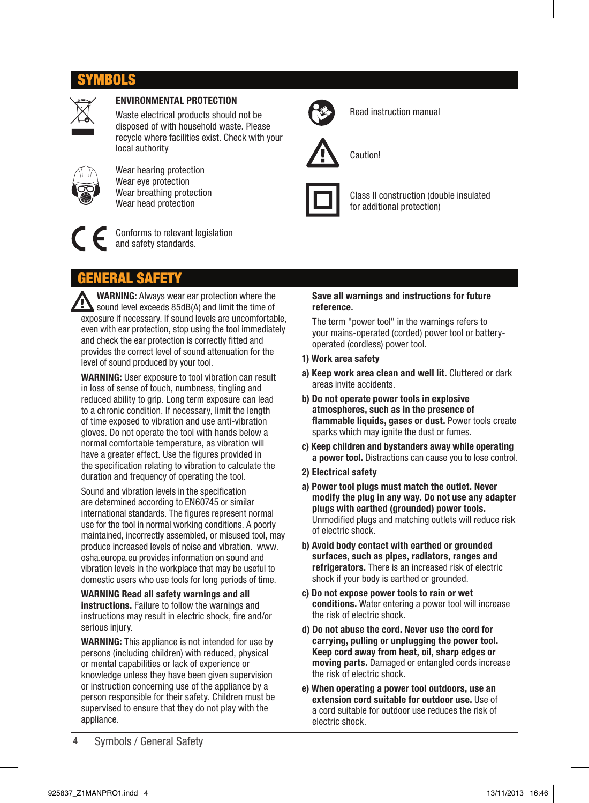# SYMBOLS



## ENVIRONMENTAL PROTECTION

Waste electrical products should not be disposed of with household waste. Please recycle where facilities exist. Check with your local authority



Wear hearing protection Wear eye protection Wear breathing protection Wear head protection



Conforms to relevant legislation and safety standards.



Read instruction manual



Caution!



Class II construction (double insulated for additional protection)

# EMERAL

WARNING: Always wear ear protection where the sound level exceeds 85dB(A) and limit the time of exposure if necessary. If sound levels are uncomfortable, even with ear protection, stop using the tool immediately and check the ear protection is correctly fitted and provides the correct level of sound attenuation for the level of sound produced by your tool.

WARNING: User exposure to tool vibration can result in loss of sense of touch, numbness, tingling and reduced ability to grip. Long term exposure can lead to a chronic condition. If necessary, limit the length of time exposed to vibration and use anti-vibration gloves. Do not operate the tool with hands below a normal comfortable temperature, as vibration will have a greater effect. Use the figures provided in the specification relating to vibration to calculate the duration and frequency of operating the tool.

Sound and vibration levels in the specification are determined according to EN60745 or similar international standards. The figures represent normal use for the tool in normal working conditions. A poorly maintained, incorrectly assembled, or misused tool, may produce increased levels of noise and vibration. www. osha.europa.eu provides information on sound and vibration levels in the workplace that may be useful to domestic users who use tools for long periods of time.

WARNING Read all safety warnings and all instructions. Failure to follow the warnings and instructions may result in electric shock, fire and/or serious injury.

WARNING: This appliance is not intended for use by persons (including children) with reduced, physical or mental capabilities or lack of experience or knowledge unless they have been given supervision or instruction concerning use of the appliance by a person responsible for their safety. Children must be supervised to ensure that they do not play with the appliance.

#### Save all warnings and instructions for future reference.

The term "power tool" in the warnings refers to your mains-operated (corded) power tool or batteryoperated (cordless) power tool.

#### 1) Work area safety

- a) Keep work area clean and well lit. Cluttered or dark areas invite accidents.
- b) Do not operate power tools in explosive atmospheres, such as in the presence of flammable liquids, gases or dust. Power tools create sparks which may ignite the dust or fumes.
- c) Keep children and bystanders away while operating a power tool. Distractions can cause you to lose control.
- 2) Electrical safety
- a) Power tool plugs must match the outlet. Never modify the plug in any way. Do not use any adapter plugs with earthed (grounded) power tools. Unmodified plugs and matching outlets will reduce risk of electric shock.
- b) Avoid body contact with earthed or grounded surfaces, such as pipes, radiators, ranges and refrigerators. There is an increased risk of electric shock if your body is earthed or grounded.
- c) Do not expose power tools to rain or wet conditions. Water entering a power tool will increase the risk of electric shock.
- d) Do not abuse the cord. Never use the cord for carrying, pulling or unplugging the power tool. Keep cord away from heat, oil, sharp edges or moving parts. Damaged or entangled cords increase the risk of electric shock.
- e) When operating a power tool outdoors, use an extension cord suitable for outdoor use. Use of a cord suitable for outdoor use reduces the risk of electric shock.

4 Symbols / General Safety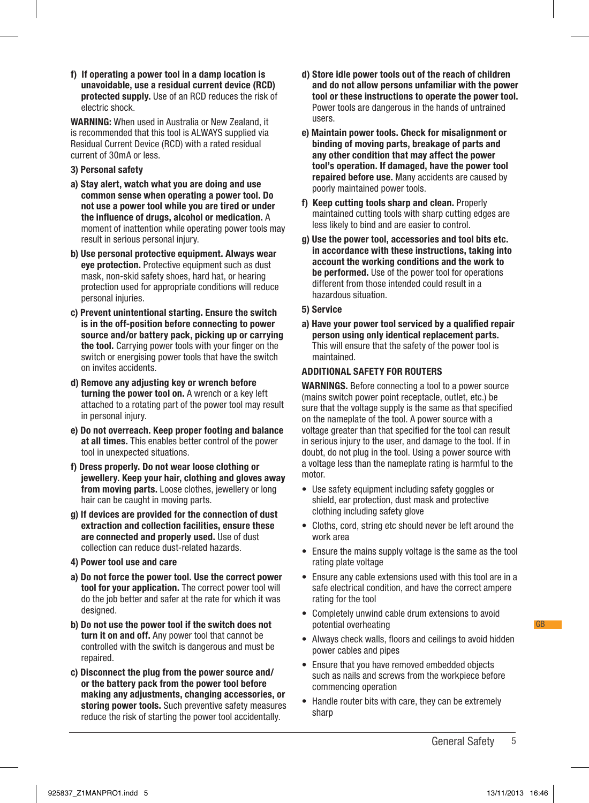f) If operating a power tool in a damp location is unavoidable, use a residual current device (RCD) protected supply. Use of an RCD reduces the risk of electric shock.

WARNING: When used in Australia or New Zealand, it is recommended that this tool is ALWAYS supplied via Residual Current Device (RCD) with a rated residual current of 30mA or less.

- 3) Personal safety
- a) Stay alert, watch what you are doing and use common sense when operating a power tool. Do not use a power tool while you are tired or under the influence of drugs, alcohol or medication. A moment of inattention while operating power tools may result in serious personal injury.
- b) Use personal protective equipment. Always wear eye protection. Protective equipment such as dust mask, non-skid safety shoes, hard hat, or hearing protection used for appropriate conditions will reduce personal injuries.
- c) Prevent unintentional starting. Ensure the switch is in the off-position before connecting to power source and/or battery pack, picking up or carrying the tool. Carrying power tools with your finger on the switch or energising power tools that have the switch on invites accidents.
- d) Remove any adjusting key or wrench before turning the power tool on. A wrench or a key left attached to a rotating part of the power tool may result in personal injury.
- e) Do not overreach. Keep proper footing and balance at all times. This enables better control of the power tool in unexpected situations.
- f) Dress properly. Do not wear loose clothing or jewellery. Keep your hair, clothing and gloves away from moving parts. Loose clothes, jewellery or long hair can be caught in moving parts.
- g) If devices are provided for the connection of dust extraction and collection facilities, ensure these are connected and properly used. Use of dust collection can reduce dust-related hazards.
- 4) Power tool use and care
- a) Do not force the power tool. Use the correct power tool for your application. The correct power tool will do the job better and safer at the rate for which it was designed.
- b) Do not use the power tool if the switch does not turn it on and off. Any power tool that cannot be controlled with the switch is dangerous and must be repaired.
- c) Disconnect the plug from the power source and/ or the battery pack from the power tool before making any adjustments, changing accessories, or storing power tools. Such preventive safety measures reduce the risk of starting the power tool accidentally.
- d) Store idle power tools out of the reach of children and do not allow persons unfamiliar with the power tool or these instructions to operate the power tool. Power tools are dangerous in the hands of untrained users.
- e) Maintain power tools. Check for misalignment or binding of moving parts, breakage of parts and any other condition that may affect the power tool's operation. If damaged, have the power tool repaired before use. Many accidents are caused by poorly maintained power tools.
- f) Keep cutting tools sharp and clean. Properly maintained cutting tools with sharp cutting edges are less likely to bind and are easier to control.
- g) Use the power tool, accessories and tool bits etc. in accordance with these instructions, taking into account the working conditions and the work to be performed. Use of the power tool for operations different from those intended could result in a hazardous situation.
- 5) Service
- a) Have your power tool serviced by a qualified repair person using only identical replacement parts. This will ensure that the safety of the power tool is maintained.

#### ADDITIONAL SAFETY FOR ROUTERS

WARNINGS. Before connecting a tool to a power source (mains switch power point receptacle, outlet, etc.) be sure that the voltage supply is the same as that specified on the nameplate of the tool. A power source with a voltage greater than that specified for the tool can result in serious injury to the user, and damage to the tool. If in doubt, do not plug in the tool. Using a power source with a voltage less than the nameplate rating is harmful to the motor.

- Use safety equipment including safety goggles or shield, ear protection, dust mask and protective clothing including safety glove
- Cloths, cord, string etc should never be left around the work area
- Ensure the mains supply voltage is the same as the tool rating plate voltage
- Ensure any cable extensions used with this tool are in a safe electrical condition, and have the correct ampere rating for the tool
- Completely unwind cable drum extensions to avoid potential overheating
- Always check walls, floors and ceilings to avoid hidden power cables and pipes
- Ensure that you have removed embedded objects such as nails and screws from the workpiece before commencing operation
- Handle router bits with care, they can be extremely sharp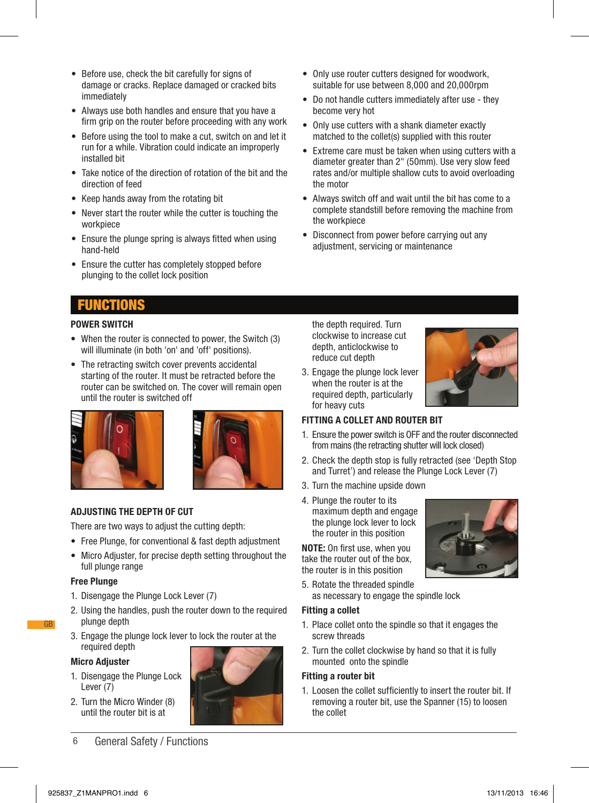- Before use, check the bit carefully for signs of damage or cracks. Replace damaged or cracked bits immediately
- Always use both handles and ensure that you have a firm grip on the router before proceeding with any work
- Before using the tool to make a cut, switch on and let it run for a while. Vibration could indicate an improperly installed bit
- Take notice of the direction of rotation of the bit and the direction of feed
- Keep hands away from the rotating bit
- Never start the router while the cutter is touching the workpiece
- Ensure the plunge spring is always fitted when using hand-held
- Ensure the cutter has completely stopped before plunging to the collet lock position
- Only use router cutters designed for woodwork, suitable for use between 8,000 and 20,000rpm
- Do not handle cutters immediately after use they become very hot
- Only use cutters with a shank diameter exactly matched to the collet(s) supplied with this router
- Extreme care must be taken when using cutters with a diameter greater than 2" (50mm). Use very slow feed rates and/or multiple shallow cuts to avoid overloading the motor
- Always switch off and wait until the bit has come to a complete standstill before removing the machine from the workpiece
- Disconnect from power before carrying out any adjustment, servicing or maintenance

# FUNCTIONS

#### POWER SWITCH

- When the router is connected to power, the Switch (3) will illuminate (in both 'on' and 'off' positions).
- The retracting switch cover prevents accidental starting of the router. It must be retracted before the router can be switched on. The cover will remain open until the router is switched off





#### ADJUSTING THE DEPTH OF CUT

There are two ways to adjust the cutting depth:

- Free Plunge, for conventional & fast depth adjustment
- Micro Adjuster, for precise depth setting throughout the full plunge range

#### Free Plunge

GB

- 1. Disengage the Plunge Lock Lever (7)
- 2. Using the handles, push the router down to the required plunge depth
- 3. Engage the plunge lock lever to lock the router at the required depth

#### Micro Adjuster

- 1. Disengage the Plunge Lock Lever (7)
- 2. Turn the Micro Winder (8) until the router bit is at



6 General Safety / Functions

the depth required. Turn clockwise to increase cut depth, anticlockwise to reduce cut depth

3. Engage the plunge lock lever when the router is at the required depth, particularly for heavy cuts



#### FITTING A COLLET AND ROUTER BIT

- 1. Ensure the power switch is OFF and the router disconnected from mains (the retracting shutter will lock closed)
- 2. Check the depth stop is fully retracted (see 'Depth Stop and Turret') and release the Plunge Lock Lever (7)
- 3. Turn the machine upside down
- 4. Plunge the router to its
- maximum depth and engage the plunge lock lever to lock the router in this position

NOTE: On first use, when you take the router out of the box, the router is in this position

5. Rotate the threaded spindle as necessary to engage the spindle lock

#### Fitting a collet

- 1. Place collet onto the spindle so that it engages the screw threads
- 2. Turn the collet clockwise by hand so that it is fully mounted onto the spindle

#### Fitting a router bit

1. Loosen the collet sufficiently to insert the router bit. If removing a router bit, use the Spanner (15) to loosen the collet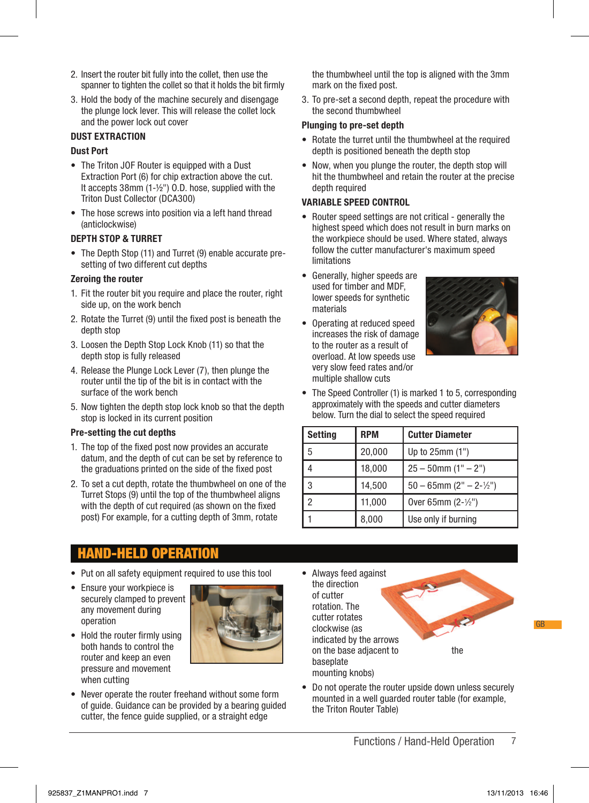- 2. Insert the router bit fully into the collet, then use the spanner to tighten the collet so that it holds the bit firmly
- 3. Hold the body of the machine securely and disengage the plunge lock lever. This will release the collet lock and the power lock out cover

### DUST EXTRACTION

#### Dust Port

- The Triton JOF Router is equipped with a Dust Extraction Port (6) for chip extraction above the cut. It accepts 38mm (1-½") O.D. hose, supplied with the Triton Dust Collector (DCA300)
- The hose screws into position via a left hand thread (anticlockwise)

#### DEPTH STOP & TURRET

• The Depth Stop (11) and Turret (9) enable accurate presetting of two different cut depths

#### Zeroing the router

- 1. Fit the router bit you require and place the router, right side up, on the work bench
- 2. Rotate the Turret (9) until the fixed post is beneath the depth stop
- 3. Loosen the Depth Stop Lock Knob (11) so that the depth stop is fully released
- 4. Release the Plunge Lock Lever (7), then plunge the router until the tip of the bit is in contact with the surface of the work bench
- 5. Now tighten the depth stop lock knob so that the depth stop is locked in its current position

#### Pre-setting the cut depths

- 1. The top of the fixed post now provides an accurate datum, and the depth of cut can be set by reference to the graduations printed on the side of the fixed post
- 2. To set a cut depth, rotate the thumbwheel on one of the Turret Stops (9) until the top of the thumbwheel aligns with the depth of cut required (as shown on the fixed post) For example, for a cutting depth of 3mm, rotate

the thumbwheel until the top is aligned with the 3mm mark on the fixed post.

3. To pre-set a second depth, repeat the procedure with the second thumbwheel

#### Plunging to pre-set depth

- Rotate the turret until the thumbwheel at the required depth is positioned beneath the depth stop
- Now, when you plunge the router, the depth stop will hit the thumbwheel and retain the router at the precise depth required

#### VARIABLE SPEED CONTROL

- Router speed settings are not critical generally the highest speed which does not result in burn marks on the workpiece should be used. Where stated, always follow the cutter manufacturer's maximum speed limitations
- Generally, higher speeds are used for timber and MDF, lower speeds for synthetic materials
- Operating at reduced speed increases the risk of damage to the router as a result of overload. At low speeds use very slow feed rates and/or multiple shallow cuts



• The Speed Controller (1) is marked 1 to 5, corresponding approximately with the speeds and cutter diameters below. Turn the dial to select the speed required

| <b>Setting</b> | <b>RPM</b> | <b>Cutter Diameter</b>        |  |
|----------------|------------|-------------------------------|--|
| 5              | 20,000     | Up to 25mm (1")               |  |
| Δ              | 18,000     | $25 - 50$ mm $(1" - 2")$      |  |
| 3              | 14,500     | $50 - 65$ mm $(2" - 2-1/2")$  |  |
| っ              | 11,000     | Over 65mm $(2 - \frac{1}{2})$ |  |
|                | 8,000      | Use only if burning           |  |

# HAND-HELD OPERATION

- Put on all safety equipment required to use this tool
- Ensure your workpiece is securely clamped to prevent any movement during operation
- Hold the router firmly using both hands to control the router and keep an even pressure and movement when cutting
- Never operate the router freehand without some form of guide. Guidance can be provided by a bearing guided cutter, the fence guide supplied, or a straight edge
- Always feed against the direction of cutter rotation. The cutter rotates clockwise (as indicated by the arrows on the base adjacent to the baseplate mounting knobs)



• Do not operate the router upside down unless securely mounted in a well guarded router table (for example, the Triton Router Table)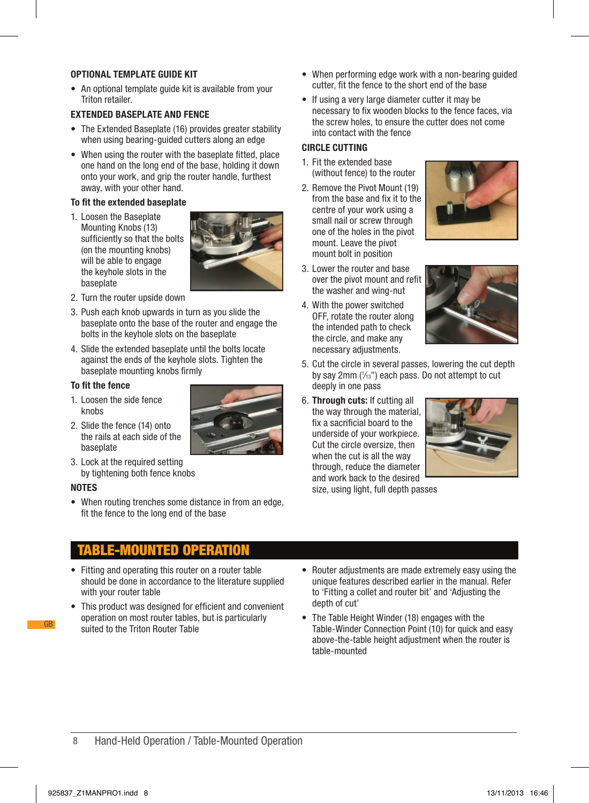### OPTIONAL TEMPLATE GUIDE KIT

• An optional template guide kit is available from your Triton retailer.

#### EXTENDED BASEPLATE AND FENCE

- The Extended Baseplate (16) provides greater stability when using bearing-guided cutters along an edge
- When using the router with the baseplate fitted, place one hand on the long end of the base, holding it down onto your work, and grip the router handle, furthest away, with your other hand.

#### To fit the extended baseplate

1. Loosen the Baseplate Mounting Knobs (13) sufficiently so that the bolts (on the mounting knobs) will be able to engage the keyhole slots in the baseplate



- 2. Turn the router upside down
- 3. Push each knob upwards in turn as you slide the baseplate onto the base of the router and engage the bolts in the keyhole slots on the baseplate
- 4. Slide the extended baseplate until the bolts locate against the ends of the keyhole slots. Tighten the baseplate mounting knobs firmly

#### To fit the fence

- 1. Loosen the side fence knobe
- 2. Slide the fence (14) onto the rails at each side of the baseplate



#### NOTES

GB

• When routing trenches some distance in from an edge, fit the fence to the long end of the base

## MOUNTED OPERATIO

- Fitting and operating this router on a router table should be done in accordance to the literature supplied with your router table
- This product was designed for efficient and convenient operation on most router tables, but is particularly suited to the Triton Router Table
- When performing edge work with a non-bearing guided cutter, fit the fence to the short end of the base
- If using a very large diameter cutter it may be necessary to fix wooden blocks to the fence faces, via the screw holes, to ensure the cutter does not come into contact with the fence

#### CIRCLE CUTTING

- 1. Fit the extended base (without fence) to the router
- 2. Remove the Pivot Mount (19) from the base and fix it to the centre of your work using a small nail or screw through one of the holes in the pivot mount. Leave the pivot mount bolt in position
- 3. Lower the router and base over the pivot mount and refit the washer and wing-nut
- 4. With the power switched OFF, rotate the router along the intended path to check the circle, and make any necessary adjustments.





- 5. Cut the circle in several passes, lowering the cut depth by say  $2mm$  ( $\frac{1}{3}$ ") each pass. Do not attempt to cut deeply in one pass
- 6. Through cuts: If cutting all the way through the material, fix a sacrificial board to the underside of your workpiece. Cut the circle oversize, then when the cut is all the way through, reduce the diameter and work back to the desired



size, using light, full depth passes

- Router adjustments are made extremely easy using the unique features described earlier in the manual. Refer to 'Fitting a collet and router bit' and 'Adjusting the depth of cut'
- The Table Height Winder (18) engages with the Table-Winder Connection Point (10) for quick and easy above-the-table height adjustment when the router is table-mounted

#### 8 Hand-Held Operation / Table-Mounted Operation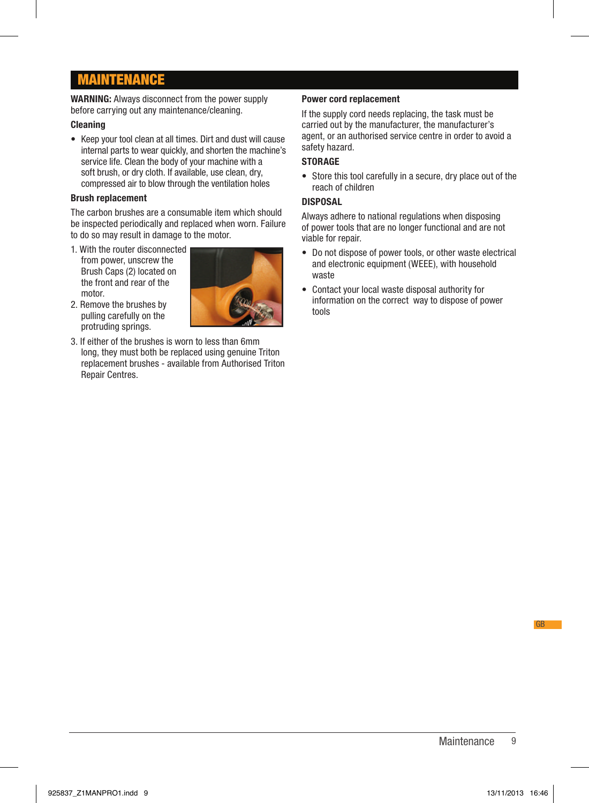# MAINTENANCE

WARNING: Always disconnect from the power supply before carrying out any maintenance/cleaning.

#### **Cleaning**

• Keep your tool clean at all times. Dirt and dust will cause internal parts to wear quickly, and shorten the machine's service life. Clean the body of your machine with a soft brush, or dry cloth. If available, use clean, dry, compressed air to blow through the ventilation holes

#### Brush replacement

The carbon brushes are a consumable item which should be inspected periodically and replaced when worn. Failure to do so may result in damage to the motor.

1. With the router disconnected from power, unscrew the Brush Caps (2) located on the front and rear of the motor.



- 2. Remove the brushes by pulling carefully on the protruding springs.
- 3. If either of the brushes is worn to less than 6mm long, they must both be replaced using genuine Triton replacement brushes - available from Authorised Triton Repair Centres.

#### Power cord replacement

If the supply cord needs replacing, the task must be carried out by the manufacturer, the manufacturer's agent, or an authorised service centre in order to avoid a safety hazard.

## **STORAGE**

• Store this tool carefully in a secure, dry place out of the reach of children

#### DISPOSAL

Always adhere to national regulations when disposing of power tools that are no longer functional and are not viable for repair.

- Do not dispose of power tools, or other waste electrical and electronic equipment (WEEE), with household waste
- Contact your local waste disposal authority for information on the correct way to dispose of power tools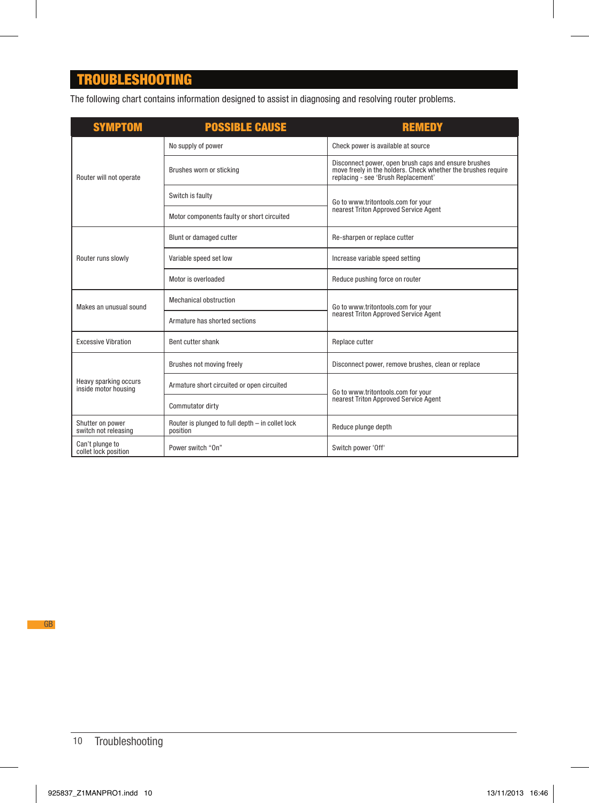# TROUBLESHOOTING

The following chart contains information designed to assist in diagnosing and resolving router problems.

| <b>SYMPTOM</b>                                | <b>POSSIBLE CAUSE</b>                                        | <b>REMEDY</b>                                                                                                                                                |  |
|-----------------------------------------------|--------------------------------------------------------------|--------------------------------------------------------------------------------------------------------------------------------------------------------------|--|
|                                               | No supply of power                                           | Check power is available at source                                                                                                                           |  |
| Router will not operate                       | Brushes worn or sticking                                     | Disconnect power, open brush caps and ensure brushes<br>move freely in the holders. Check whether the brushes require<br>replacing - see 'Brush Replacement' |  |
|                                               | Switch is faulty                                             | Go to www.tritontools.com for your                                                                                                                           |  |
|                                               | Motor components faulty or short circuited                   | nearest Triton Approved Service Agent                                                                                                                        |  |
| Router runs slowly                            | Blunt or damaged cutter                                      | Re-sharpen or replace cutter                                                                                                                                 |  |
|                                               | Variable speed set low                                       | Increase variable speed setting                                                                                                                              |  |
|                                               | Motor is overloaded                                          | Reduce pushing force on router                                                                                                                               |  |
| Makes an unusual sound                        | Mechanical obstruction                                       | Go to www.tritontools.com for your<br>nearest Triton Approved Service Agent                                                                                  |  |
|                                               | Armature has shorted sections                                |                                                                                                                                                              |  |
| <b>Excessive Vibration</b>                    | Bent cutter shank                                            | Replace cutter                                                                                                                                               |  |
| Heavy sparking occurs<br>inside motor housing | Brushes not moving freely                                    | Disconnect power, remove brushes, clean or replace                                                                                                           |  |
|                                               | Armature short circuited or open circuited                   | Go to www.tritontools.com for your<br>nearest Triton Approved Service Agent                                                                                  |  |
|                                               | Commutator dirty                                             |                                                                                                                                                              |  |
| Shutter on power<br>switch not releasing      | Router is plunged to full depth - in collet lock<br>position | Reduce plunge depth                                                                                                                                          |  |
| Can't plunge to<br>collet lock position       | Power switch "On"                                            | Switch power 'Off'                                                                                                                                           |  |